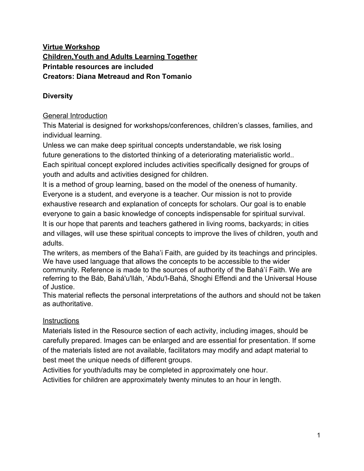## **Virtue Workshop Children,Youth and Adults Learning Together Printable resources are included Creators: Diana Metreaud and Ron Tomanio**

# **Diversity**

## General Introduction

This Material is designed for workshops/conferences, children's classes, families, and individual learning.

Unless we can make deep spiritual concepts understandable, we risk losing future generations to the distorted thinking of a deteriorating materialistic world.. Each spiritual concept explored includes activities specifically designed for groups of youth and adults and activities designed for children.

It is a method of group learning, based on the model of the oneness of humanity. Everyone is a student, and everyone is a teacher. Our mission is not to provide exhaustive research and explanation of concepts for scholars. Our goal is to enable everyone to gain a basic knowledge of concepts indispensable for spiritual survival. It is our hope that parents and teachers gathered in living rooms, backyards; in cities and villages, will use these spiritual concepts to improve the lives of children, youth and adults.

The writers, as members of the Baha'i Faith, are guided by its teachings and principles. We have used language that allows the concepts to be accessible to the wider community. Reference is made to the sources of authority of the Bahá'í Faith. We are referring to the Báb, Bahá'u'lláh, 'Abdu'l-Bahá, Shoghi Effendi and the Universal House of Justice.

This material reflects the personal interpretations of the authors and should not be taken as authoritative.

## **Instructions**

Materials listed in the Resource section of each activity, including images, should be carefully prepared. Images can be enlarged and are essential for presentation. If some of the materials listed are not available, facilitators may modify and adapt material to best meet the unique needs of different groups.

Activities for youth/adults may be completed in approximately one hour.

Activities for children are approximately twenty minutes to an hour in length.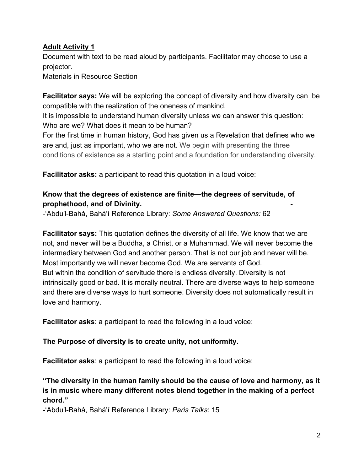## **Adult Activity 1**

Document with text to be read aloud by participants. Facilitator may choose to use a projector.

Materials in Resource Section

**Facilitator says:** We will be exploring the concept of diversity and how diversity can be compatible with the realization of the oneness of mankind.

It is impossible to understand human diversity unless we can answer this question: Who are we? What does it mean to be human?

For the first time in human history, God has given us a Revelation that defines who we are and, just as important, who we are not. We begin with presenting the three conditions of existence as a starting point and a foundation for understanding diversity.

**Facilitator asks:** a participant to read this quotation in a loud voice:

## **Know that the degrees of existence are finite—the degrees of servitude, of prophethood, and of Divinity.** -

-'Abdu'l-Bahá, Bahá'í Reference Library: *Some Answered Questions:* 62

**Facilitator says:** This quotation defines the diversity of all life. We know that we are not, and never will be a Buddha, a Christ, or a Muhammad. We will never become the intermediary between God and another person. That is not our job and never will be. Most importantly we will never become God. We are servants of God. But within the condition of servitude there is endless diversity. Diversity is not intrinsically good or bad. It is morally neutral. There are diverse ways to help someone and there are diverse ways to hurt someone. Diversity does not automatically result in love and harmony.

**Facilitator asks**: a participant to read the following in a loud voice:

#### **The Purpose of diversity is to create unity, not uniformity.**

**Facilitator asks**: a participant to read the following in a loud voice:

**"The diversity in the human family should be the cause of love and harmony, as it is in music where many different notes blend together in the making of a perfect chord."**

-'Abdu'l-Bahá, Bahá'í Reference Library: *Paris Talks*: 15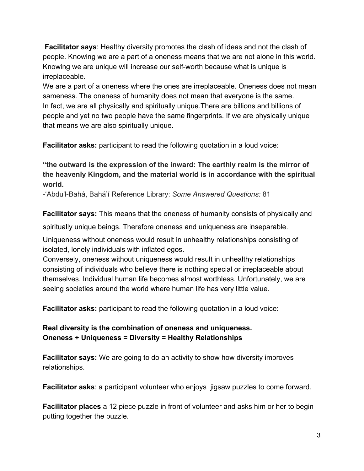**Facilitator says**: Healthy diversity promotes the clash of ideas and not the clash of people. Knowing we are a part of a oneness means that we are not alone in this world. Knowing we are unique will increase our self-worth because what is unique is irreplaceable.

We are a part of a oneness where the ones are irreplaceable. Oneness does not mean sameness. The oneness of humanity does not mean that everyone is the same. In fact, we are all physically and spiritually unique.There are billions and billions of people and yet no two people have the same fingerprints. If we are physically unique that means we are also spiritually unique.

**Facilitator asks:** participant to read the following quotation in a loud voice:

**"the outward is the expression of the inward: The earthly realm is the mirror of the heavenly Kingdom, and the material world is in accordance with the spiritual world.**

-'Abdu'l-Bahá, Bahá'í Reference Library: *Some Answered Questions:* 81

**Facilitator says:** This means that the oneness of humanity consists of physically and

spiritually unique beings. Therefore oneness and uniqueness are inseparable.

Uniqueness without oneness would result in unhealthy relationships consisting of isolated, lonely individuals with inflated egos.

Conversely, oneness without uniqueness would result in unhealthy relationships consisting of individuals who believe there is nothing special or irreplaceable about themselves. Individual human life becomes almost worthless. Unfortunately, we are seeing societies around the world where human life has very little value.

**Facilitator asks:** participant to read the following quotation in a loud voice:

## **Real diversity is the combination of oneness and uniqueness. Oneness + Uniqueness = Diversity = Healthy Relationships**

**Facilitator says:** We are going to do an activity to show how diversity improves relationships.

**Facilitator asks**: a participant volunteer who enjoys jigsaw puzzles to come forward.

**Facilitator places** a 12 piece puzzle in front of volunteer and asks him or her to begin putting together the puzzle.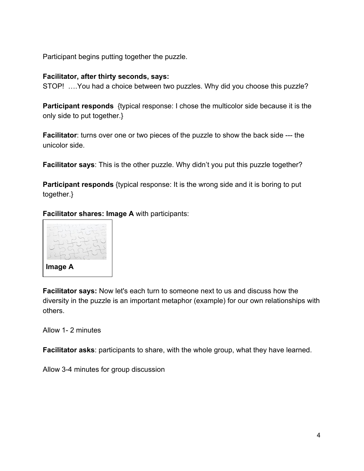Participant begins putting together the puzzle.

#### **Facilitator, after thirty seconds, says:**

STOP! ….You had a choice between two puzzles. Why did you choose this puzzle?

**Participant responds** {typical response: I chose the multicolor side because it is the only side to put together.}

**Facilitator**: turns over one or two pieces of the puzzle to show the back side --- the unicolor side.

**Facilitator says**: This is the other puzzle. Why didn't you put this puzzle together?

**Participant responds** {typical response: It is the wrong side and it is boring to put together.}

**Facilitator shares: Image A** with participants:



**Facilitator says:** Now let's each turn to someone next to us and discuss how the diversity in the puzzle is an important metaphor (example) for our own relationships with others.

Allow 1- 2 minutes

**Facilitator asks**: participants to share, with the whole group, what they have learned.

Allow 3-4 minutes for group discussion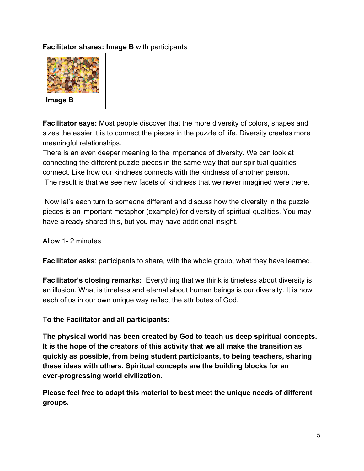### **Facilitator shares: Image B** with participants



**Facilitator says:** Most people discover that the more diversity of colors, shapes and sizes the easier it is to connect the pieces in the puzzle of life. Diversity creates more meaningful relationships.

There is an even deeper meaning to the importance of diversity. We can look at connecting the different puzzle pieces in the same way that our spiritual qualities connect. Like how our kindness connects with the kindness of another person. The result is that we see new facets of kindness that we never imagined were there.

 Now let's each turn to someone different and discuss how the diversity in the puzzle pieces is an important metaphor (example) for diversity of spiritual qualities. You may have already shared this, but you may have additional insight.

Allow 1- 2 minutes

**Facilitator asks**: participants to share, with the whole group, what they have learned.

**Facilitator's closing remarks:** Everything that we think is timeless about diversity is an illusion. What is timeless and eternal about human beings is our diversity. It is how each of us in our own unique way reflect the attributes of God.

**To the Facilitator and all participants:**

**The physical world has been created by God to teach us deep spiritual concepts. It is the hope of the creators of this activity that we all make the transition as quickly as possible, from being student participants, to being teachers, sharing these ideas with others. Spiritual concepts are the building blocks for an ever-progressing world civilization.**

**Please feel free to adapt this material to best meet the unique needs of different groups.**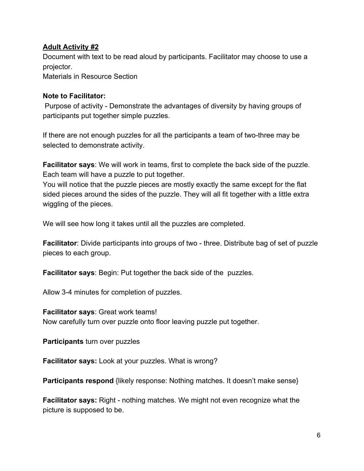#### **Adult Activity #2**

Document with text to be read aloud by participants. Facilitator may choose to use a projector.

Materials in Resource Section

#### **Note to Facilitator:**

 Purpose of activity - Demonstrate the advantages of diversity by having groups of participants put together simple puzzles.

If there are not enough puzzles for all the participants a team of two-three may be selected to demonstrate activity.

**Facilitator says**: We will work in teams, first to complete the back side of the puzzle. Each team will have a puzzle to put together.

You will notice that the puzzle pieces are mostly exactly the same except for the flat sided pieces around the sides of the puzzle. They will all fit together with a little extra wiggling of the pieces.

We will see how long it takes until all the puzzles are completed.

**Facilitator**: Divide participants into groups of two - three. Distribute bag of set of puzzle pieces to each group.

**Facilitator says**: Begin: Put together the back side of the puzzles.

Allow 3-4 minutes for completion of puzzles.

**Facilitator says**: Great work teams! Now carefully turn over puzzle onto floor leaving puzzle put together.

**Participants** turn over puzzles

**Facilitator says:** Look at your puzzles. What is wrong?

**Participants respond** {likely response: Nothing matches. It doesn't make sense}

**Facilitator says:** Right - nothing matches. We might not even recognize what the picture is supposed to be.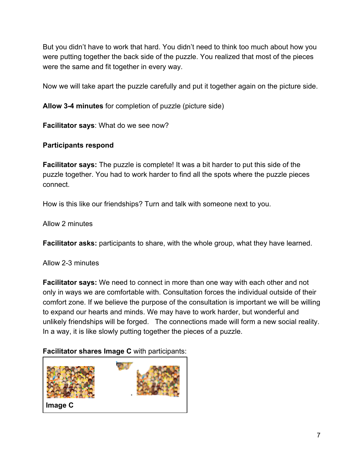But you didn't have to work that hard. You didn't need to think too much about how you were putting together the back side of the puzzle. You realized that most of the pieces were the same and fit together in every way.

Now we will take apart the puzzle carefully and put it together again on the picture side.

**Allow 3-4 minutes** for completion of puzzle (picture side)

**Facilitator says**: What do we see now?

### **Participants respond**

**Facilitator says:** The puzzle is complete! It was a bit harder to put this side of the puzzle together. You had to work harder to find all the spots where the puzzle pieces connect.

How is this like our friendships? Turn and talk with someone next to you.

Allow 2 minutes

**Facilitator asks:** participants to share, with the whole group, what they have learned.

Allow 2-3 minutes

**Facilitator says:** We need to connect in more than one way with each other and not only in ways we are comfortable with. Consultation forces the individual outside of their comfort zone. If we believe the purpose of the consultation is important we will be willing to expand our hearts and minds. We may have to work harder, but wonderful and unlikely friendships will be forged. The connections made will form a new social reality. In a way, it is like slowly putting together the pieces of a puzzle.

#### **Facilitator shares Image C** with participants:

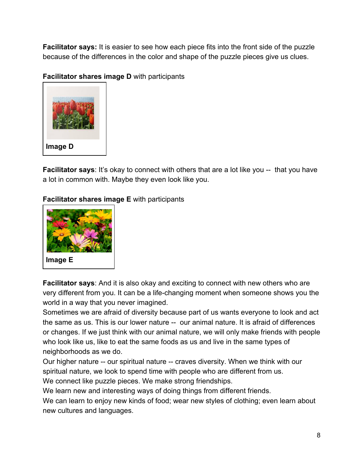**Facilitator says:** It is easier to see how each piece fits into the front side of the puzzle because of the differences in the color and shape of the puzzle pieces give us clues.

**Facilitator shares image D** with participants



**Facilitator says:** It's okay to connect with others that are a lot like you -- that you have a lot in common with. Maybe they even look like you.

**Facilitator shares image E** with participants



**Facilitator says**: And it is also okay and exciting to connect with new others who are very different from you. It can be a life-changing moment when someone shows you the world in a way that you never imagined.

Sometimes we are afraid of diversity because part of us wants everyone to look and act the same as us. This is our lower nature -- our animal nature. It is afraid of differences or changes. If we just think with our animal nature, we will only make friends with people who look like us, like to eat the same foods as us and live in the same types of neighborhoods as we do.

Our higher nature -- our spiritual nature -- craves diversity. When we think with our spiritual nature, we look to spend time with people who are different from us. We connect like puzzle pieces. We make strong friendships.

We learn new and interesting ways of doing things from different friends.

We can learn to enjoy new kinds of food; wear new styles of clothing; even learn about new cultures and languages.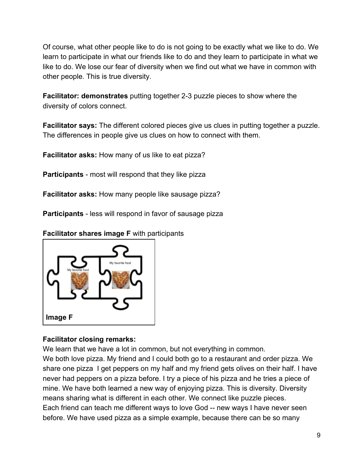Of course, what other people like to do is not going to be exactly what we like to do. We learn to participate in what our friends like to do and they learn to participate in what we like to do. We lose our fear of diversity when we find out what we have in common with other people. This is true diversity.

**Facilitator: demonstrates** putting together 2-3 puzzle pieces to show where the diversity of colors connect.

**Facilitator says:** The different colored pieces give us clues in putting together a puzzle. The differences in people give us clues on how to connect with them.

**Facilitator asks:** How many of us like to eat pizza?

**Participants** - most will respond that they like pizza

**Facilitator asks:** How many people like sausage pizza?

**Participants** - less will respond in favor of sausage pizza

**Facilitator shares image F** with participants



## **Facilitator closing remarks:**

We learn that we have a lot in common, but not everything in common.

We both love pizza. My friend and I could both go to a restaurant and order pizza. We share one pizza I get peppers on my half and my friend gets olives on their half. I have never had peppers on a pizza before. I try a piece of his pizza and he tries a piece of mine. We have both learned a new way of enjoying pizza. This is diversity. Diversity means sharing what is different in each other. We connect like puzzle pieces. Each friend can teach me different ways to love God -- new ways I have never seen before. We have used pizza as a simple example, because there can be so many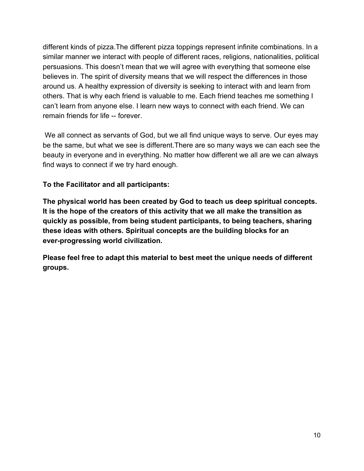different kinds of pizza.The different pizza toppings represent infinite combinations. In a similar manner we interact with people of different races, religions, nationalities, political persuasions. This doesn't mean that we will agree with everything that someone else believes in. The spirit of diversity means that we will respect the differences in those around us. A healthy expression of diversity is seeking to interact with and learn from others. That is why each friend is valuable to me. Each friend teaches me something I can't learn from anyone else. I learn new ways to connect with each friend. We can remain friends for life -- forever.

 We all connect as servants of God, but we all find unique ways to serve. Our eyes may be the same, but what we see is different.There are so many ways we can each see the beauty in everyone and in everything. No matter how different we all are we can always find ways to connect if we try hard enough.

### **To the Facilitator and all participants:**

**The physical world has been created by God to teach us deep spiritual concepts. It is the hope of the creators of this activity that we all make the transition as quickly as possible, from being student participants, to being teachers, sharing these ideas with others. Spiritual concepts are the building blocks for an ever-progressing world civilization.**

**Please feel free to adapt this material to best meet the unique needs of different groups.**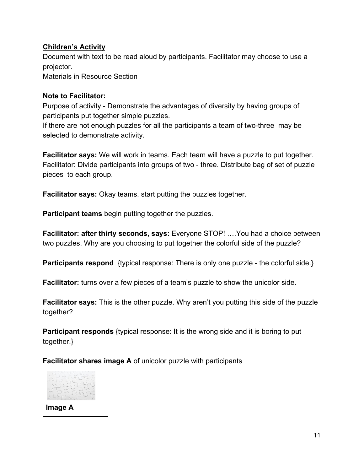### **Children's Activity**

Document with text to be read aloud by participants. Facilitator may choose to use a projector.

Materials in Resource Section

#### **Note to Facilitator:**

Purpose of activity - Demonstrate the advantages of diversity by having groups of participants put together simple puzzles.

If there are not enough puzzles for all the participants a team of two-three may be selected to demonstrate activity.

**Facilitator says:** We will work in teams. Each team will have a puzzle to put together. Facilitator: Divide participants into groups of two - three. Distribute bag of set of puzzle pieces to each group.

**Facilitator says:** Okay teams. start putting the puzzles together.

**Participant teams** begin putting together the puzzles.

**Facilitator: after thirty seconds, says:** Everyone STOP! ….You had a choice between two puzzles. Why are you choosing to put together the colorful side of the puzzle?

**Participants respond** {typical response: There is only one puzzle - the colorful side.}

**Facilitator:** turns over a few pieces of a team's puzzle to show the unicolor side.

**Facilitator says:** This is the other puzzle. Why aren't you putting this side of the puzzle together?

**Participant responds** {typical response: It is the wrong side and it is boring to put together.}

**Facilitator shares image A** of unicolor puzzle with participants

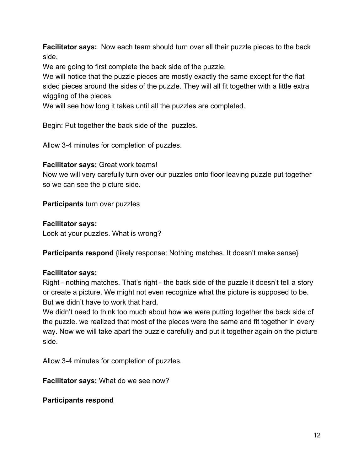**Facilitator says:** Now each team should turn over all their puzzle pieces to the back side.

We are going to first complete the back side of the puzzle.

We will notice that the puzzle pieces are mostly exactly the same except for the flat sided pieces around the sides of the puzzle. They will all fit together with a little extra wiggling of the pieces.

We will see how long it takes until all the puzzles are completed.

Begin: Put together the back side of the puzzles.

Allow 3-4 minutes for completion of puzzles.

#### **Facilitator says:** Great work teams!

Now we will very carefully turn over our puzzles onto floor leaving puzzle put together so we can see the picture side.

**Participants** turn over puzzles

### **Facilitator says:**

Look at your puzzles. What is wrong?

**Participants respond** {likely response: Nothing matches. It doesn't make sense}

## **Facilitator says:**

Right - nothing matches. That's right - the back side of the puzzle it doesn't tell a story or create a picture. We might not even recognize what the picture is supposed to be. But we didn't have to work that hard.

We didn't need to think too much about how we were putting together the back side of the puzzle. we realized that most of the pieces were the same and fit together in every way. Now we will take apart the puzzle carefully and put it together again on the picture side.

Allow 3-4 minutes for completion of puzzles.

**Facilitator says:** What do we see now?

**Participants respond**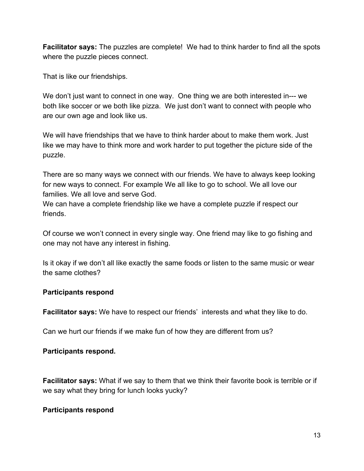**Facilitator says:** The puzzles are complete! We had to think harder to find all the spots where the puzzle pieces connect.

That is like our friendships.

We don't just want to connect in one way. One thing we are both interested in--- we both like soccer or we both like pizza. We just don't want to connect with people who are our own age and look like us.

We will have friendships that we have to think harder about to make them work. Just like we may have to think more and work harder to put together the picture side of the puzzle.

There are so many ways we connect with our friends. We have to always keep looking for new ways to connect. For example We all like to go to school. We all love our families. We all love and serve God.

We can have a complete friendship like we have a complete puzzle if respect our friends.

Of course we won't connect in every single way. One friend may like to go fishing and one may not have any interest in fishing.

Is it okay if we don't all like exactly the same foods or listen to the same music or wear the same clothes?

#### **Participants respond**

**Facilitator says:** We have to respect our friends' interests and what they like to do.

Can we hurt our friends if we make fun of how they are different from us?

## **Participants respond.**

**Facilitator says:** What if we say to them that we think their favorite book is terrible or if we say what they bring for lunch looks yucky?

## **Participants respond**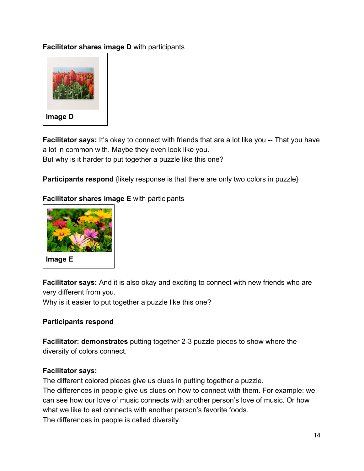## **Facilitator shares image D** with participants



**Facilitator says:** It's okay to connect with friends that are a lot like you -- That you have a lot in common with. Maybe they even look like you. But why is it harder to put together a puzzle like this one?

**Participants respond** {likely response is that there are only two colors in puzzle}

### **Facilitator shares image E** with participants



**Facilitator says:** And it is also okay and exciting to connect with new friends who are very different from you.

Why is it easier to put together a puzzle like this one?

#### **Participants respond**

**Facilitator: demonstrates** putting together 2-3 puzzle pieces to show where the diversity of colors connect.

#### **Facilitator says:**

The different colored pieces give us clues in putting together a puzzle. The differences in people give us clues on how to connect with them. For example: we can see how our love of music connects with another person's love of music. Or how what we like to eat connects with another person's favorite foods. The differences in people is called diversity.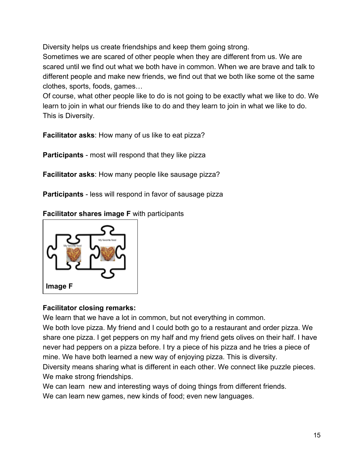Diversity helps us create friendships and keep them going strong.

Sometimes we are scared of other people when they are different from us. We are scared until we find out what we both have in common. When we are brave and talk to different people and make new friends, we find out that we both like some ot the same clothes, sports, foods, games…

Of course, what other people like to do is not going to be exactly what we like to do. We learn to join in what our friends like to do and they learn to join in what we like to do. This is Diversity.

**Facilitator asks**: How many of us like to eat pizza?

**Participants** - most will respond that they like pizza

**Facilitator asks**: How many people like sausage pizza?

**Participants** - less will respond in favor of sausage pizza

**Facilitator shares image F** with participants



## **Facilitator closing remarks:**

We learn that we have a lot in common, but not everything in common.

We both love pizza. My friend and I could both go to a restaurant and order pizza. We share one pizza. I get peppers on my half and my friend gets olives on their half. I have never had peppers on a pizza before. I try a piece of his pizza and he tries a piece of mine. We have both learned a new way of enjoying pizza. This is diversity. Diversity means sharing what is different in each other. We connect like puzzle pieces.

We make strong friendships.

We can learn new and interesting ways of doing things from different friends. We can learn new games, new kinds of food; even new languages.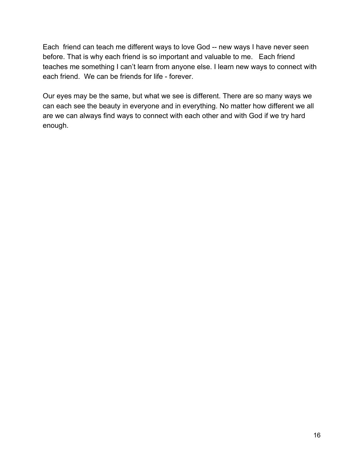Each friend can teach me different ways to love God -- new ways I have never seen before. That is why each friend is so important and valuable to me. Each friend teaches me something I can't learn from anyone else. I learn new ways to connect with each friend. We can be friends for life - forever.

Our eyes may be the same, but what we see is different. There are so many ways we can each see the beauty in everyone and in everything. No matter how different we all are we can always find ways to connect with each other and with God if we try hard enough.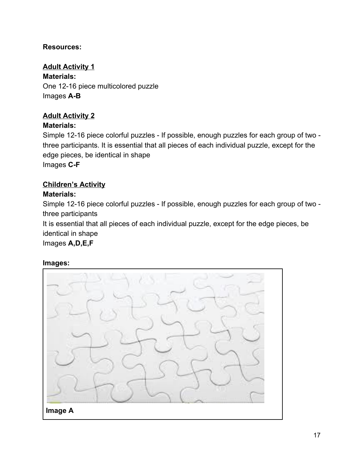## **Resources:**

**Adult Activity 1 Materials:** One 12-16 piece multicolored puzzle Images **A-B**

## **Adult Activity 2**

### **Materials:**

Simple 12-16 piece colorful puzzles - If possible, enough puzzles for each group of two three participants. It is essential that all pieces of each individual puzzle, except for the edge pieces, be identical in shape Images **C-F**

#### **Children's Activity Materials:**

Simple 12-16 piece colorful puzzles - If possible, enough puzzles for each group of two three participants

It is essential that all pieces of each individual puzzle, except for the edge pieces, be identical in shape

Images **A,D,E,F**

#### **Images:**

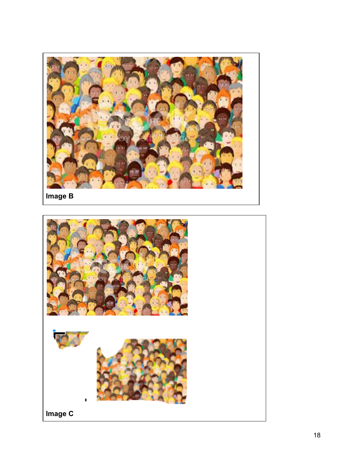

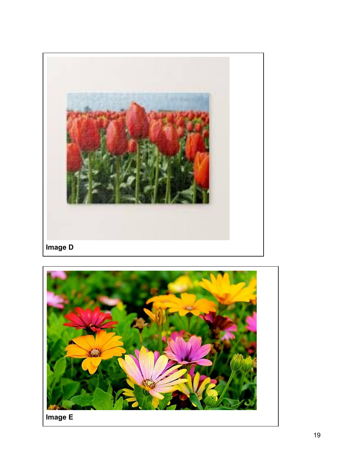